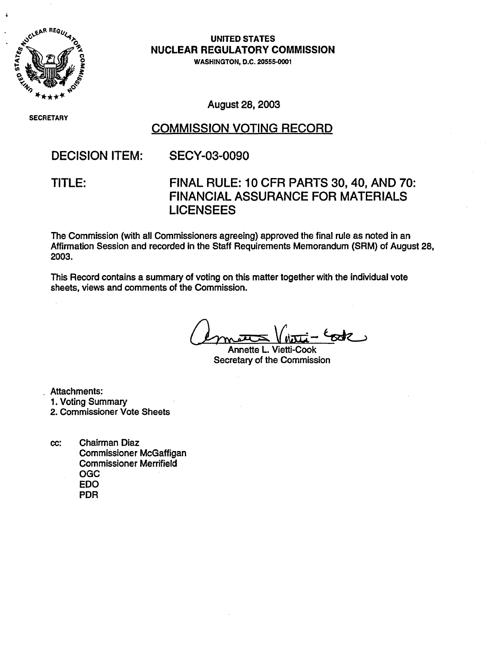

**UNITED STATES NUCLEAR REGULATORY COMMISSION**

WASHINGTON, D.C. **20555-0001**

SECRETAR)

August 28, 2003

### COMMISSION VOTING RECORD

# DECISION ITEM: SECY-03-0090

## TITLE: FINAL RULE: 10 CFR PARTS 30,40, AND 70: FINANCIAL ASSURANCE FOR MATERIALS LICENSEES

The Commission (with all Commissioners agreeing) approved the final rule as noted in an Affirmation Session and recorded in the Staff Requirements Memorandum (SRM) of August 28, 2003.

This Record contains a summary of voting on this matter together with the individual vote sheets, views and comments of the Commission.

Annette L. Vietti-Cook Secretary of the Commission

Attachments:

- 1. Voting Summary
- 2. Commissioner Vote Sheets
- cc: Chairman Diaz Commissioner McGaffigan Commissioner Merrifield OGC EDO PDR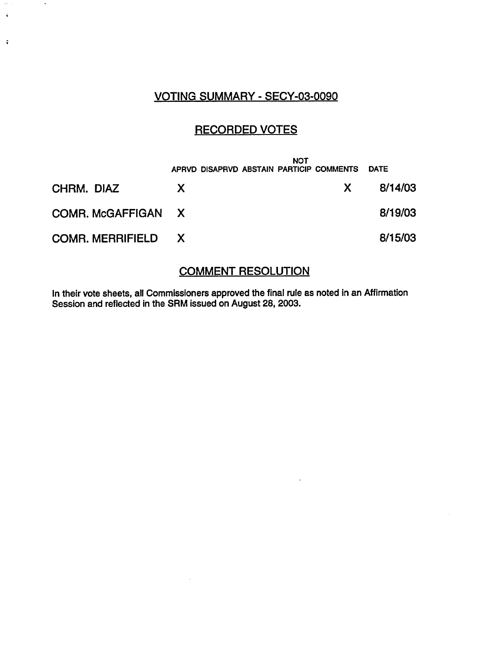### VOTING SUMMARY - SECY-03-0090

 $\ddot{\phantom{a}}$ 

 $\zeta$ 

 $\ddot{\star}$ 

### RECORDED VOTES

|                           |    | NOT<br>APRVD DISAPRVD ABSTAIN PARTICIP COMMENTS |    | <b>DATE</b> |
|---------------------------|----|-------------------------------------------------|----|-------------|
| CHRM. DIAZ                | X. |                                                 | X. | 8/14/03     |
| COMR. McGAFFIGAN X        |    |                                                 |    | 8/19/03     |
| <b>COMR. MERRIFIELD X</b> |    |                                                 |    | 8/15/03     |

### COMMENT RESOLUTION

 $\mathcal{L}$ 

In their vote sheets, all Commissioners approved the final rule as noted in an Affirmation Session and reflected in the SRM issued on August 28, 2003.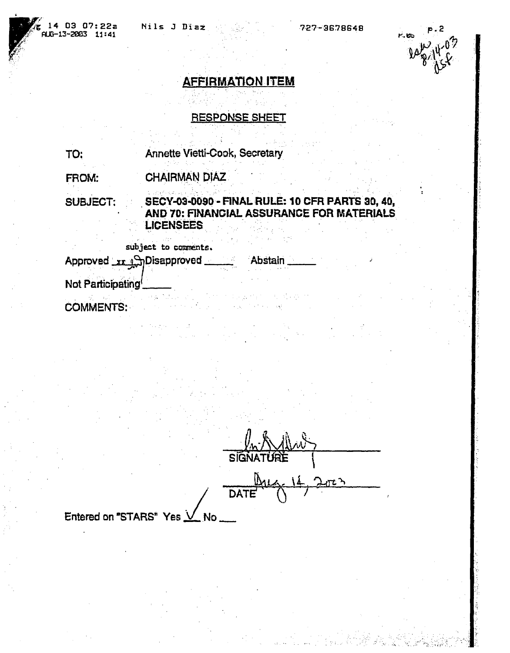

# **AFFIRMATION ITEM**

RESPONSE SHEET

TO: Annette Vietti-Cook, Secretary

FROM: CHAIRMAN DIAZ

SUBJECT; SECY-03009 - **FINAL RULE: 10 CFR PARTS 30, 40, AND 70: FINANCIAL ASSURANCE** FOR **MATERIALS** LICENSEES :ujc to et~ . ...

subject to comments.

Approved xx Applisapproved Abstai Not Participating

COMMENTS:

SiG **DATE** 

Entered on "STARS" Yes  $\vee$  No.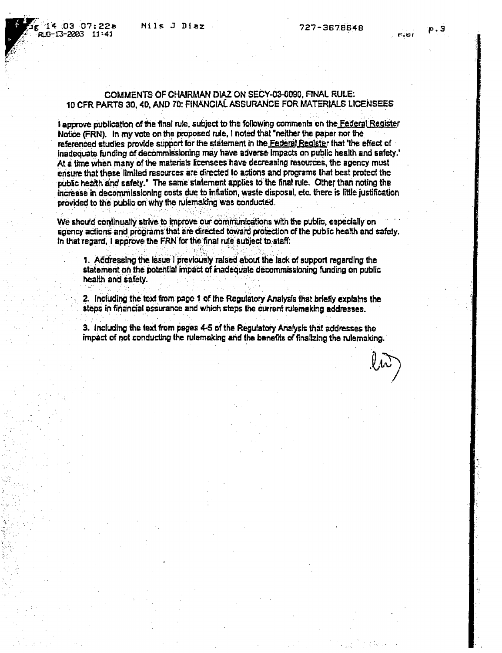#### COMMENTS OF CHAIRMAN DIAZ ON SECY-03-0O90, FINAL RULE; 10 CFR PARTS 30,40), AND 70: FINANCIAL ASSURANCE FOR MATERIALS LICENSEES

I approve publication of the final rule, subject to the following comments on the Federal Register Notice (FRN). In my vote on the proposed rule, I noted that "neither the paper nor the referenced studies provide support for the statement in the Federal Register that 'the effect of inadequate funding of decommissioning may have adverse mpacts on public health and safety.' At a time when many of the materials licensees have decreasing resources, the agency must ensure that these limited resources are directed to actions and programs that best protect the pubic health and safety.' The same statement applies to the final rule. Other than noting the increase in decommissIoning costs due to inflation, waste disposal, etc. there is little justification provided to the public on why the rulemaking was conducted.

We should continually strive to improve our communications with the public, especially on agency actions and prograns that are direded toward protection of the public heafth and safety. In that regard, I approve the FRN for the final rule subject to-staff.

1. Addressing the issue I previously raised about the lack of support regarding the statement on the potential impact of inadequate decommissioning funding on public health and safety.

2. including the text from page 1 of the Regulatory Analysis that briefly explains the steps in financial assurance and which steps the current rulemaking addresses.

3. Including the text from pages 4-5 of the Regulatory Analysis that addresses the impact of not conducting the rulemaking and the benefits of finalizing the rulemaking.

e

t :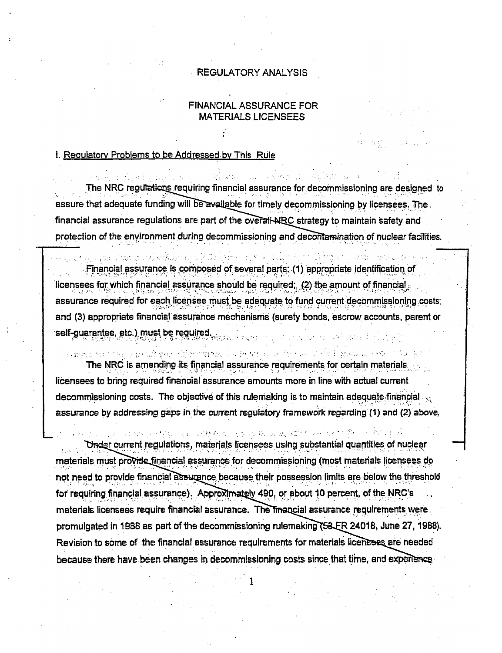### REGULATORY ANALYSIS

### FINANCIAL ASSURANCE FOR MATERIALS LICENSEES

### 1. Reoulatorv Problems to be Addressed by This Rule

The NRC regulations requiring financial assurance for decommissioning are designed to assure that adequate funding will be available for timely decommissioning by licensees. The financial assurance regulations are part of the overall-NRC strategy to maintain safety and protection of the environment during decommissioning and decontamination of nuclear facilities.

.Financial assurance is composed of several parts: (1) appropriate identification of licensees for which financial assurance should be required;. (2) the amount of financial, assurance required for each licensee must be adequate to fund current decommissioning costs; and (3). appropriate financial assurance mechanisms (surety bonds, escrow accounts, parent or self-guarantee, etc.) must be required.

计微音器 化防水性静电机 机热电压机 医子 1999年,1999年,1999年,1999年,1999年,1999年,1999年,1999年,1999年,1999年,1999年,1999年,1999年,1999年,1999年,1999年,1999 The NRC is amending its financial assurance requirements for certain materials. licensees to bring required financial assurance amounts more in line with actual current decommissioning costs. The objective of this rulemaking is to maintain adequate financial assurance by addressing gaps in the current regulatory framework regarding (1) and (2) above.

These area of the second control of the second state for the second state for Under current regulations, materials licensees using substantial quantities of nuclear materials must provide financial assurance for decommissioning (most materials licensees do not need to provide financial assurance because their possession limits are below the threshold for requiring financial assurance). Approximately 490, or about 10 percent, of the NRC's materials licensees require financial assurance. The financial assurance requirements were. promulgated in 1988 as part of the decommissioning rulemaking (53 ER 24018, June 27, 1988). Revision to some of the financial assurance requirements for materials licensees are needed because there have been changes In decommissioning costs since that time, and ex

 $\frac{1}{2}$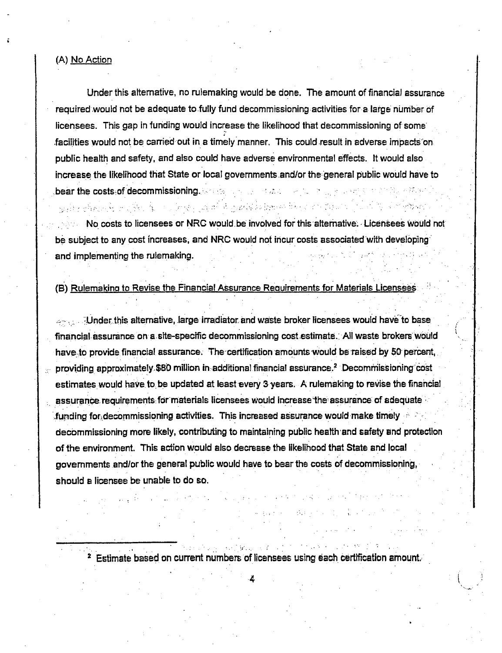### (A) No Action

Under this alternative, no rulemaking would be done. The amount of financial assurance required would not be adequate to fully fund decommissioning activities for a large number of licensees. This gap in funding would increase the likelihood that decommissioning of some facilities would not be carried out in a timely manner. This could result in adverse impacts on public health and safety, and also could have adverse environmental effects. It would also increase the likelihood that State or local governments.and/or the general public would have to bear the costs of decommissioning. So the summarization of the figure of

No costs to licensees or NRC would. be involved for this alternative. Licensees Would not be subject to any cost increases, and NRC would not incur costs associated with developing and implementing the rulemaking.

 $\chi_{\rm eff}$  ,  $\chi_{\rm eff}$  , and  $\chi_{\rm eff}$  ,  $\chi_{\rm eff}$ 

(B) Rulemaking to Revise the Financial Assurance Requirements for Materials Licensees

وأرادوه ومتراد والمرادة والمستعملة فالمقامص فوأكسيهم والمعروض والأرداء والأرداء والمستعملات والمبلغ

- Under this alternative, large irradiator and waste broker licensees would have' to base financial assurance on a site-specific decommissioning cost estimate. All waste brokers would have to provide financial assurance. The certification amounts would be raised by 50 percent, providing approximately. \$80 million in additional financial assurance.<sup>2</sup> Decommissioning cost estimates would have to be updated at least every 3 years. A rulemaking to revise the financial assurance requirements for materials licensees would increase the assurance of adequate funding foridecommissioning activities. This increased assurance would make timely decommissioning more likely, contributing to maintaining public health'and safety and protection of the environment. This action would also decrease the likelihood that State and local govemments and/or the general public would have to bear the costs of decommissioning, should a licensee be unable to do so.

**2** Estimate based on current numbers of licensees using each certification amount.

4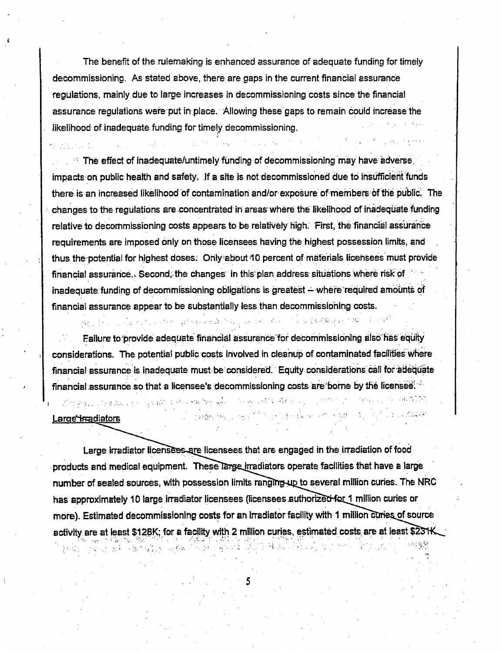The benefit of the rulemaking is enhanced assurance of adequate funding for timely decommissioning. As stated above, there are gaps in the current financial assurance regulations, mainly due to large increases in decommissioning costs since the financial assurance regulations were put inplace. Allowing these gaps to remain could increase the likelihood of inadequate funding for timely decommissioning.

The effect of inadequate/untimely funding of decommissioning'may have adverse. impacts on public health and safety. If a site is not decommissioned due to insofficient funds there is an increased likelihood of contamination and/or exposure of members bf the public. The changes to the regulations are concentrated in areas where likelihood of inadequate funding relative to decommissioning costs appears to be relatively high. First, the financial assurance requirements are imposed only on those licensees having the highest possession limits, and thus the potential for highest doses. Ohly-about 10 percent of materials licensees must provide financial assurance. Second, the changes in this plan address situations where risk of inadequate funding of decommissioning obligations is greatest - where required amounts of financial assurance appear to be substantially less than decommissioning costs.

ા.<br>1980 કરીના પાકની સારો પ્રાપ્ત થઈ પાકની ફરીના ઉપરાંત પર પ્રાપ્ત થઇ છે. આ ગામમાં પ્રાથમિક સુધાર 1940 કરીને જરી ર

La San Cathair (1993), and the San San San San Sales Are application of the

Failure to-provide adequate financial assurance''for decommissioning also has equity considerations. The potential public costs involved in cleanup of contaminated facilitieswhere financial assurance is inadequate must be considered. Equity considerations'call for adequate financial assurance so that a licensee's decommissioning costs are borne by the licensee.

The Basic time of the company of the community of the constantial

#### Large *I*rradiators

Large irradiator licensees are licensees that are engaged in the irradiation of food products and medical equipment. These large irradiators operate facilities that have a large number of sealed sources, with possession limits ranging up to several million curies. The NRC has approximately 10 large irradiator licensees (licensees authorized for 1 million curies or more). Estimated decommissioning costs for an irradiator facility with 1 million curies of source activity are at least \$128K; for a facility with 2 million curies, estimated costs are at least \$231K.

5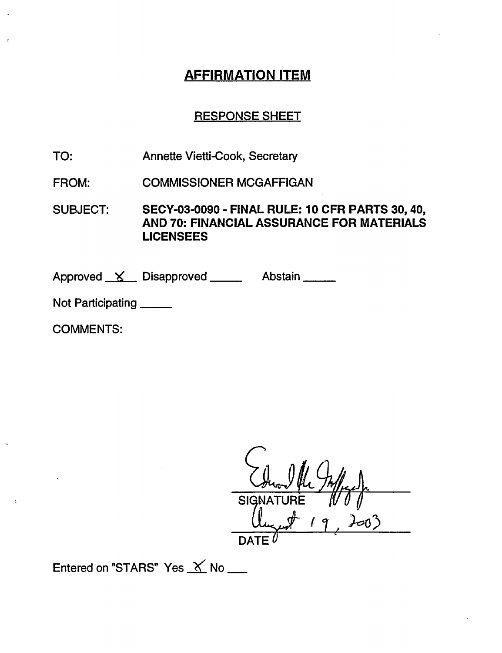# AFFIRMATION ITEM

## RESPONSE SHEET

- TO: Annette Vietti-Cook, Secretary
- FROM: COMMISSIONER MCGAFFIGAN

SUBJECT: SECY-03-0090 - FINAL RULE: 10 CFR PARTS 30,40, AND 70: **FINANCIAL ASSURANCE FOR MATERIALS LICENSEES**

Approved <u>X</u> Disapproved Abstain

Not Participating \_\_\_\_

COMMENTS:

**SIGN DATE**  $^{\prime}$ 

Entered on "STARS" Yes  $\chi$  No \_\_